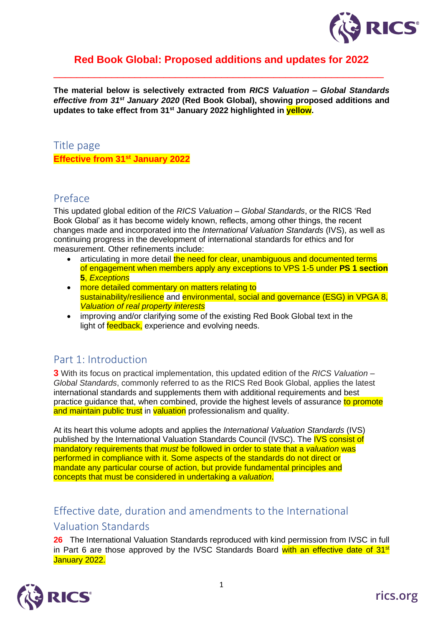

## **Red Book Global: Proposed additions and updates for 2022**

\_\_\_\_\_\_\_\_\_\_\_\_\_\_\_\_\_\_\_\_\_\_\_\_\_\_\_\_\_\_\_\_\_\_\_\_\_\_\_\_\_\_\_\_\_\_\_\_\_\_\_\_\_\_\_\_\_

**The material below is selectively extracted from** *RICS Valuation – Global Standards effective from 31st January 2020* **(Red Book Global), showing proposed additions and updates to take effect from 31st January 2022 highlighted in yellow.** 

## Title page **Effective from 31st January 2022**

## Preface

This updated global edition of the *RICS Valuation – Global Standards*, or the RICS 'Red Book Global' as it has become widely known, reflects, among other things, the recent changes made and incorporated into the *International Valuation Standards* (IVS), as well as continuing progress in the development of international standards for ethics and for measurement. Other refinements include:

- articulating in more detail the need for clear, unambiguous and documented terms of engagement when members apply any exceptions to VPS 1-5 under **PS 1 section 5**, *Exceptions*
- more detailed commentary on matters relating to sustainability/resilience and environmental, social and governance (ESG) in VPGA 8, *Valuation of real property interests*
- improving and/or clarifying some of the existing Red Book Global text in the light of **feedback**, experience and evolving needs.

## Part 1: Introduction

**3** With its focus on practical implementation, this updated edition of the *RICS Valuation – Global Standards*, commonly referred to as the RICS Red Book Global, applies the latest international standards and supplements them with additional requirements and best practice guidance that, when combined, provide the highest levels of assurance to promote and maintain public trust in valuation professionalism and quality.

At its heart this volume adopts and applies the *International Valuation Standards* (IVS) published by the International Valuation Standards Council (IVSC). The IVS consist of mandatory requirements that *must* be followed in order to state that a *valuation* was performed in compliance with it. Some aspects of the standards do not direct or mandate any particular course of action, but provide fundamental principles and concepts that must be considered in undertaking a *valuation*.

## Effective date, duration and amendments to the International

## Valuation Standards

**26** The International Valuation Standards reproduced with kind permission from IVSC in full in Part 6 are those approved by the IVSC Standards Board with an effective date of  $31<sup>st</sup>$ January 2022.

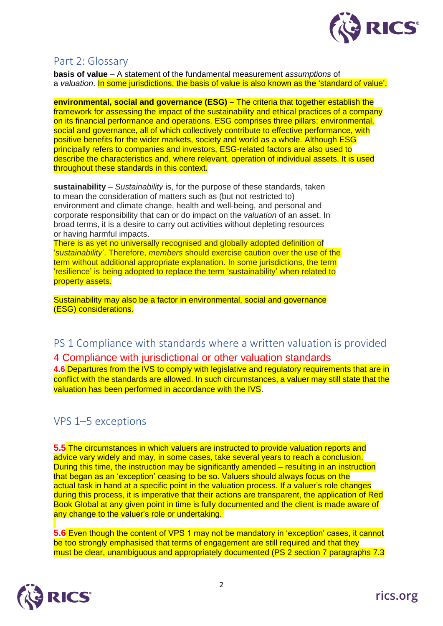

## Part 2: Glossary

**basis of value** – A statement of the fundamental measurement *assumptions* of a *valuation*. In some jurisdictions, the basis of value is also known as the 'standard of value'.

**environmental, social and governance (ESG)** – The criteria that together establish the framework for assessing the impact of the sustainability and ethical practices of a company on its financial performance and operations. ESG comprises three pillars: environmental, social and governance, all of which collectively contribute to effective performance, with positive benefits for the wider markets, society and world as a whole. Although ESG principally refers to companies and investors, ESG-related factors are also used to describe the characteristics and, where relevant, operation of individual assets. It is used throughout these standards in this context.

**sustainability** – *Sustainability* is, for the purpose of these standards, taken to mean the consideration of matters such as (but not restricted to) environment and climate change, health and well-being, and personal and corporate responsibility that can or do impact on the *valuation* of an asset. In broad terms, it is a desire to carry out activities without depleting resources or having harmful impacts.

There is as yet no universally recognised and globally adopted definition of '*sustainability*'. Therefore, *members* should exercise caution over the use of the term without additional appropriate explanation. In some jurisdictions, the term 'resilience' is being adopted to replace the term 'sustainability' when related to property assets.

Sustainability may also be a factor in environmental, social and governance (ESG) considerations.

# PS 1 Compliance with standards where a written valuation is provided

4 Compliance with jurisdictional or other valuation standards

**4.6** Departures from the IVS to comply with legislative and regulatory requirements that are in conflict with the standards are allowed. In such circumstances, a valuer may still state that the valuation has been performed in accordance with the IVS.

## VPS 1–5 exceptions

**5.5** The circumstances in which valuers are instructed to provide valuation reports and advice vary widely and may, in some cases, take several years to reach a conclusion. During this time, the instruction may be significantly amended – resulting in an instruction that began as an 'exception' ceasing to be so. Valuers should always focus on the actual task in hand at a specific point in the valuation process. If a valuer's role changes during this process, it is imperative that their actions are transparent, the application of Red Book Global at any given point in time is fully documented and the client is made aware of any change to the valuer's role or undertaking.

**5.6** Even though the content of VPS 1 may not be mandatory in 'exception' cases, it cannot be too strongly emphasised that terms of engagement are still required and that they must be clear, unambiguous and appropriately documented (PS 2 section 7 paragraphs 7.3

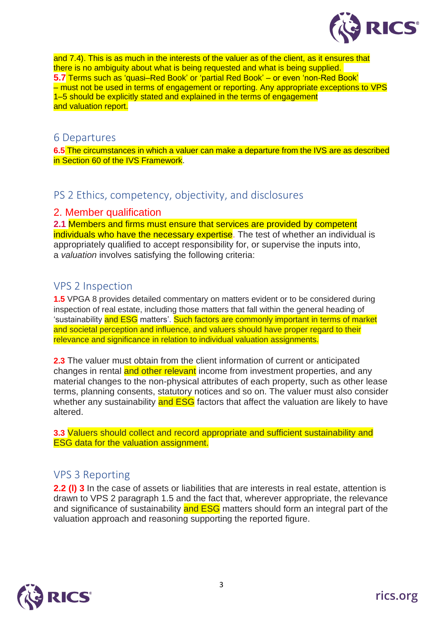

and 7.4). This is as much in the interests of the valuer as of the client, as it ensures that there is no ambiguity about what is being requested and what is being supplied. **5.7** Terms such as 'quasi–Red Book' or 'partial Red Book' – or even 'non-Red Book' – must not be used in terms of engagement or reporting. Any appropriate exceptions to VPS 1–5 should be explicitly stated and explained in the terms of engagement and valuation report.

#### 6 Departures

**6.5** The circumstances in which a valuer can make a departure from the IVS are as described in Section 60 of the IVS Framework.

## PS 2 Ethics, competency, objectivity, and disclosures

#### 2. Member qualification

**2.1** Members and firms must ensure that services are provided by competent individuals who have the necessary expertise. The test of whether an individual is appropriately qualified to accept responsibility for, or supervise the inputs into, a *valuation* involves satisfying the following criteria:

## VPS 2 Inspection

**1.5** VPGA 8 provides detailed commentary on matters evident or to be considered during inspection of real estate, including those matters that fall within the general heading of 'sustainability and ESG matters'. Such factors are commonly important in terms of market and societal perception and influence, and valuers should have proper regard to their relevance and significance in relation to individual valuation assignments.

**2.3** The valuer must obtain from the client information of current or anticipated changes in rental and other relevant income from investment properties, and any material changes to the non-physical attributes of each property, such as other lease terms, planning consents, statutory notices and so on. The valuer must also consider whether any sustainability and **ESG** factors that affect the valuation are likely to have altered.

**3.3** Valuers should collect and record appropriate and sufficient sustainability and ESG data for the valuation assignment.

## VPS 3 Reporting

**2.2 (I) 3** In the case of assets or liabilities that are interests in real estate, attention is drawn to VPS 2 paragraph 1.5 and the fact that, wherever appropriate, the relevance and significance of sustainability and ESG matters should form an integral part of the valuation approach and reasoning supporting the reported figure.

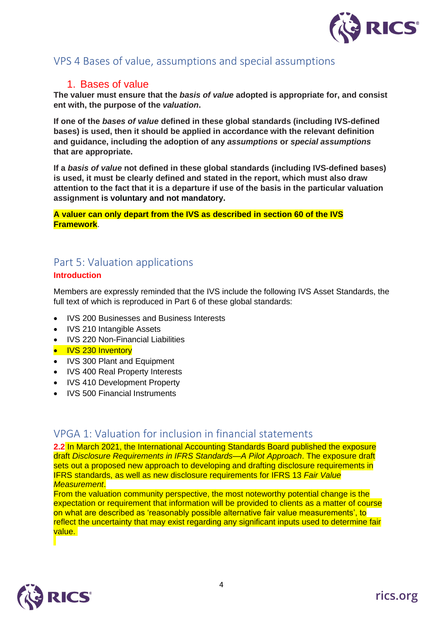

## VPS 4 Bases of value, assumptions and special assumptions

#### 1. Bases of value

**The valuer must ensure that the** *basis of value* **adopted is appropriate for, and consist ent with, the purpose of the** *valuation***.**

**If one of the** *bases of value* **defined in these global standards (including IVS-defined bases) is used, then it should be applied in accordance with the relevant definition and guidance, including the adoption of any** *assumptions* **or** *special assumptions* **that are appropriate.**

**If a** *basis of value* **not defined in these global standards (including IVS-defined bases) is used, it must be clearly defined and stated in the report, which must also draw attention to the fact that it is a departure if use of the basis in the particular valuation assignment is voluntary and not mandatory.**

**A valuer can only depart from the IVS as described in section 60 of the IVS Framework**.

## Part 5: Valuation applications **Introduction**

Members are expressly reminded that the IVS include the following IVS Asset Standards, the full text of which is reproduced in Part 6 of these global standards:

- IVS 200 Businesses and Business Interests
- IVS 210 Intangible Assets
- IVS 220 Non-Financial Liabilities
- IVS 230 Inventory
- IVS 300 Plant and Equipment
- IVS 400 Real Property Interests
- IVS 410 Development Property
- IVS 500 Financial Instruments

## VPGA 1: Valuation for inclusion in financial statements

**2.2** In March 2021, the International Accounting Standards Board published the exposure draft *Disclosure Requirements in IFRS Standards—A Pilot Approach*. The exposure draft sets out a proposed new approach to developing and drafting disclosure requirements in IFRS standards, as well as new disclosure requirements for IFRS 13 *Fair Value Measurement*.

From the valuation community perspective, the most noteworthy potential change is the expectation or requirement that information will be provided to clients as a matter of course on what are described as 'reasonably possible alternative fair value measurements', to reflect the uncertainty that may exist regarding any significant inputs used to determine fair value.

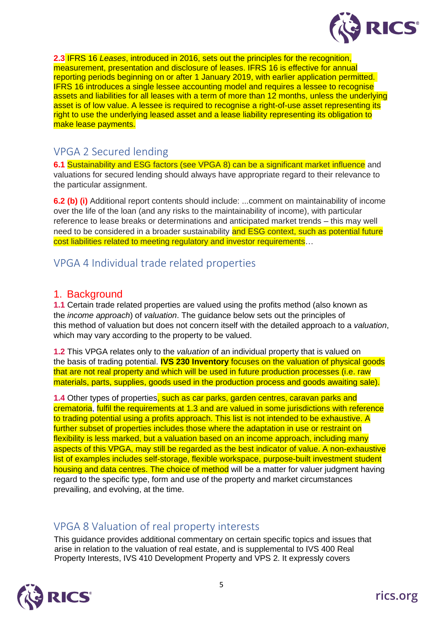

**2.3** IFRS 16 *Leases*, introduced in 2016, sets out the principles for the recognition, measurement, presentation and disclosure of leases. IFRS 16 is effective for annual reporting periods beginning on or after 1 January 2019, with earlier application permitted. IFRS 16 introduces a single lessee accounting model and requires a lessee to recognise assets and liabilities for all leases with a term of more than 12 months, unless the underlying asset is of low value. A lessee is required to recognise a right-of-use asset representing its right to use the underlying leased asset and a lease liability representing its obligation to make lease payments.

## VPGA 2 Secured lending

**6.1** Sustainability and ESG factors (see VPGA 8) can be a significant market influence and valuations for secured lending should always have appropriate regard to their relevance to the particular assignment.

**6.2 (b) (i)** Additional report contents should include: ...comment on maintainability of income over the life of the loan (and any risks to the maintainability of income), with particular reference to lease breaks or determinations and anticipated market trends – this may well need to be considered in a broader sustainability and ESG context, such as potential future cost liabilities related to meeting regulatory and investor requirements...

## VPGA 4 Individual trade related properties

#### 1. Background

**1.1** Certain trade related properties are valued using the profits method (also known as the *income approach*) of *valuation*. The guidance below sets out the principles of this method of valuation but does not concern itself with the detailed approach to a *valuation*, which may vary according to the property to be valued.

**1.2** This VPGA relates only to the *valuation* of an individual property that is valued on the basis of trading potential. **IVS 230 Inventory** focuses on the valuation of physical goods that are not real property and which will be used in future production processes (i.e. raw materials, parts, supplies, goods used in the production process and goods awaiting sale).

**1.4** Other types of properties, such as car parks, garden centres, caravan parks and crematoria, fulfil the requirements at 1.3 and are valued in some jurisdictions with reference to trading potential using a profits approach. This list is not intended to be exhaustive. A further subset of properties includes those where the adaptation in use or restraint on flexibility is less marked, but a valuation based on an income approach, including many aspects of this VPGA, may still be regarded as the best indicator of value. A non-exhaustive list of examples includes self-storage, flexible workspace, purpose-built investment student housing and data centres. The choice of method will be a matter for valuer judgment having regard to the specific type, form and use of the property and market circumstances prevailing, and evolving, at the time.

# VPGA 8 Valuation of real property interests

This guidance provides additional commentary on certain specific topics and issues that arise in relation to the valuation of real estate, and is supplemental to IVS 400 Real Property Interests, IVS 410 Development Property and VPS 2. It expressly covers

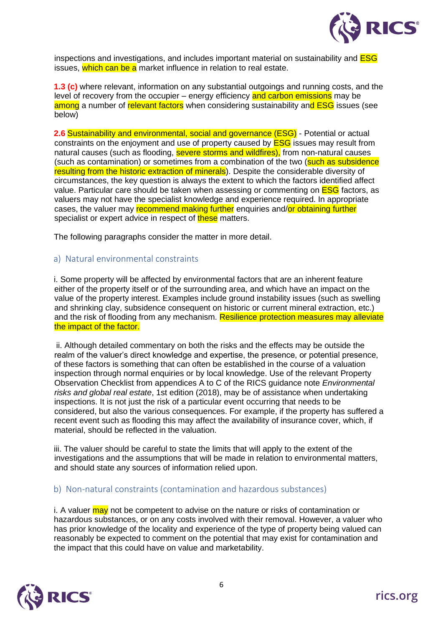

inspections and investigations, and includes important material on sustainability and **ESG** issues, which can be a market influence in relation to real estate.

**1.3 (c)** where relevant, information on any substantial outgoings and running costs, and the level of recovery from the occupier – energy efficiency and carbon emissions may be among a number of relevant factors when considering sustainability and ESG issues (see below)

**2.6** Sustainability and environmental, social and governance (ESG) - Potential or actual constraints on the enjoyment and use of property caused by **ESG** issues may result from natural causes (such as flooding, severe storms and wildfires), from non-natural causes (such as contamination) or sometimes from a combination of the two (such as subsidence resulting from the historic extraction of minerals). Despite the considerable diversity of circumstances, the key question is always the extent to which the factors identified affect value. Particular care should be taken when assessing or commenting on **ESG** factors, as valuers may not have the specialist knowledge and experience required. In appropriate cases, the valuer may recommend making further enquiries and/or obtaining further specialist or expert advice in respect of these matters.

The following paragraphs consider the matter in more detail.

#### a) Natural environmental constraints

i. Some property will be affected by environmental factors that are an inherent feature either of the property itself or of the surrounding area, and which have an impact on the value of the property interest. Examples include ground instability issues (such as swelling and shrinking clay, subsidence consequent on historic or current mineral extraction, etc.) and the risk of flooding from any mechanism. Resilience protection measures may alleviate the impact of the factor.

ii. Although detailed commentary on both the risks and the effects may be outside the realm of the valuer's direct knowledge and expertise, the presence, or potential presence, of these factors is something that can often be established in the course of a valuation inspection through normal enquiries or by local knowledge. Use of the relevant Property Observation Checklist from appendices A to C of the RICS guidance note *Environmental risks and global real estate*, 1st edition (2018), may be of assistance when undertaking inspections. It is not just the risk of a particular event occurring that needs to be considered, but also the various consequences. For example, if the property has suffered a recent event such as flooding this may affect the availability of insurance cover, which, if material, should be reflected in the valuation.

iii. The valuer should be careful to state the limits that will apply to the extent of the investigations and the assumptions that will be made in relation to environmental matters, and should state any sources of information relied upon.

#### b) Non-natural constraints (contamination and hazardous substances)

i. A valuer may not be competent to advise on the nature or risks of contamination or hazardous substances, or on any costs involved with their removal. However, a valuer who has prior knowledge of the locality and experience of the type of property being valued can reasonably be expected to comment on the potential that may exist for contamination and the impact that this could have on value and marketability.

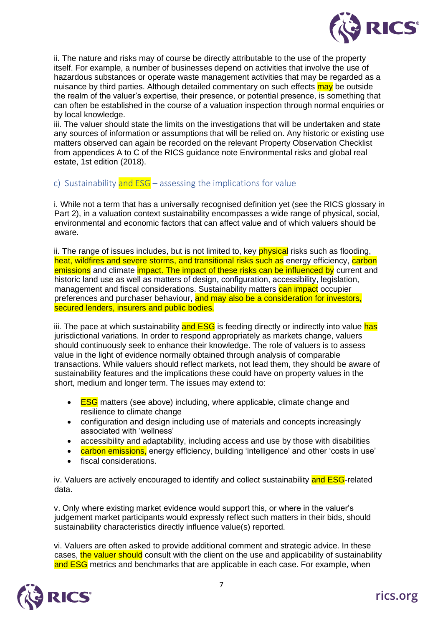

ii. The nature and risks may of course be directly attributable to the use of the property itself. For example, a number of businesses depend on activities that involve the use of hazardous substances or operate waste management activities that may be regarded as a nuisance by third parties. Although detailed commentary on such effects may be outside the realm of the valuer's expertise, their presence, or potential presence, is something that can often be established in the course of a valuation inspection through normal enquiries or by local knowledge.

iii. The valuer should state the limits on the investigations that will be undertaken and state any sources of information or assumptions that will be relied on. Any historic or existing use matters observed can again be recorded on the relevant Property Observation Checklist from appendices A to C of the RICS guidance note Environmental risks and global real estate, 1st edition (2018).

#### c) Sustainability and  $ESG -$  assessing the implications for value

i. While not a term that has a universally recognised definition yet (see the RICS glossary in Part 2), in a valuation context sustainability encompasses a wide range of physical, social, environmental and economic factors that can affect value and of which valuers should be aware.

ii. The range of issues includes, but is not limited to, key **physical** risks such as flooding, heat, wildfires and severe storms, and transitional risks such as energy efficiency, carbon emissions and climate *impact*. The impact of these risks can be influenced by current and historic land use as well as matters of design, configuration, accessibility, legislation, management and fiscal considerations. Sustainability matters can impact occupier preferences and purchaser behaviour, and may also be a consideration for investors, secured lenders, insurers and public bodies.

iii. The pace at which sustainability and ESG is feeding directly or indirectly into value has jurisdictional variations. In order to respond appropriately as markets change, valuers should continuously seek to enhance their knowledge. The role of valuers is to assess value in the light of evidence normally obtained through analysis of comparable transactions. While valuers should reflect markets, not lead them, they should be aware of sustainability features and the implications these could have on property values in the short, medium and longer term. The issues may extend to:

- ESG matters (see above) including, where applicable, climate change and resilience to climate change
- configuration and design including use of materials and concepts increasingly associated with 'wellness'
- accessibility and adaptability, including access and use by those with disabilities
- carbon emissions, energy efficiency, building 'intelligence' and other 'costs in use'
- fiscal considerations.

iv. Valuers are actively encouraged to identify and collect sustainability and ESG-related data.

v. Only where existing market evidence would support this, or where in the valuer's judgement market participants would expressly reflect such matters in their bids, should sustainability characteristics directly influence value(s) reported.

vi. Valuers are often asked to provide additional comment and strategic advice. In these cases, the valuer should consult with the client on the use and applicability of sustainability and ESG metrics and benchmarks that are applicable in each case. For example, when

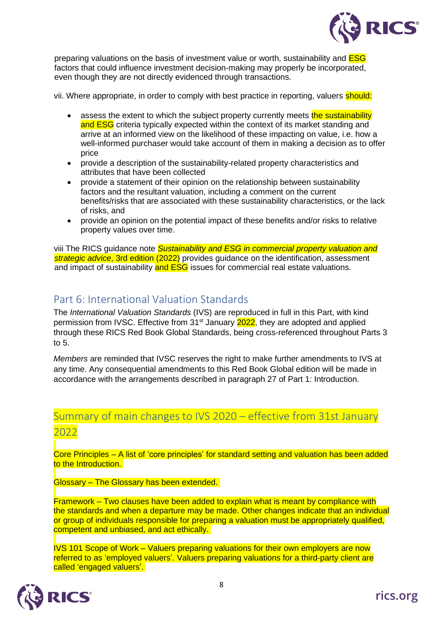

preparing valuations on the basis of investment value or worth, sustainability and **ESG** factors that could influence investment decision-making may properly be incorporated, even though they are not directly evidenced through transactions.

vii. Where appropriate, in order to comply with best practice in reporting, valuers should:

- assess the extent to which the subject property currently meets the sustainability and ESG criteria typically expected within the context of its market standing and arrive at an informed view on the likelihood of these impacting on value, i.e. how a well-informed purchaser would take account of them in making a decision as to offer price
- provide a description of the sustainability-related property characteristics and attributes that have been collected
- provide a statement of their opinion on the relationship between sustainability factors and the resultant valuation, including a comment on the current benefits/risks that are associated with these sustainability characteristics, or the lack of risks, and
- provide an opinion on the potential impact of these benefits and/or risks to relative property values over time.

viii The RICS guidance note *Sustainability and ESG in commercial property valuation and strategic advice*, 3rd edition (2022) provides guidance on the identification, assessment and impact of sustainability and ESG issues for commercial real estate valuations.

## Part 6: International Valuation Standards

The *International Valuation Standards* (IVS) are reproduced in full in this Part, with kind permission from IVSC. Effective from 31<sup>st</sup> January 2022, they are adopted and applied through these RICS Red Book Global Standards, being cross-referenced throughout Parts 3 to 5.

*Members* are reminded that IVSC reserves the right to make further amendments to IVS at any time. Any consequential amendments to this Red Book Global edition will be made in accordance with the arrangements described in paragraph 27 of Part 1: Introduction.

# Summary of main changes to IVS 2020 – effective from 31st January 2022

Core Principles – A list of 'core principles' for standard setting and valuation has been added to the Introduction.

Glossary – The Glossary has been extended.

Framework – Two clauses have been added to explain what is meant by compliance with the standards and when a departure may be made. Other changes indicate that an individual or group of individuals responsible for preparing a valuation must be appropriately qualified, competent and unbiased, and act ethically.

IVS 101 Scope of Work – Valuers preparing valuations for their own employers are now referred to as 'employed valuers'. Valuers preparing valuations for a third-party client are called 'engaged valuers'.